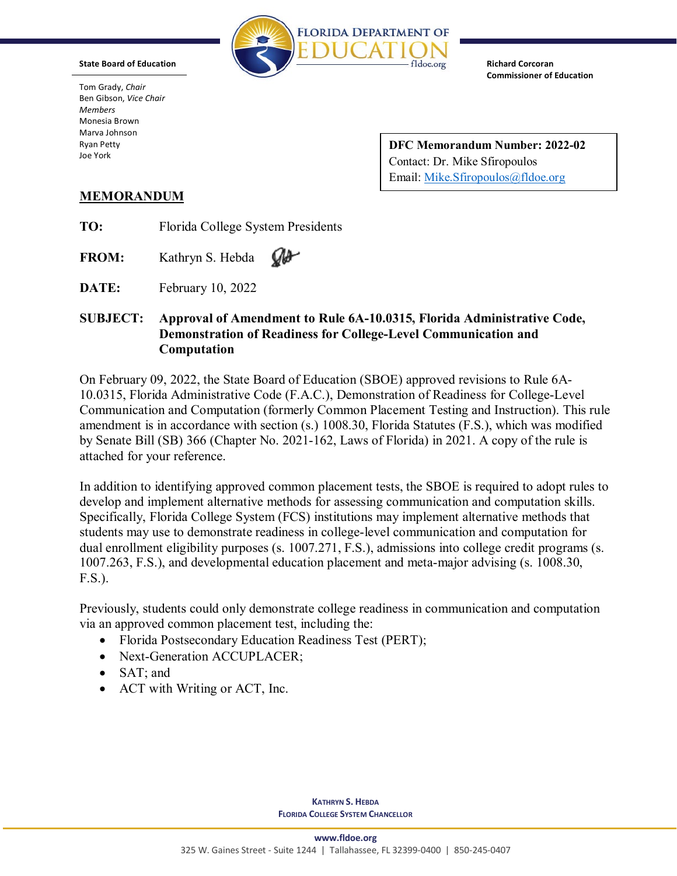

**Richard Corcoran Commissioner of Education**

Tom Grady, *Chair* Ben Gibson, *Vice Chair Members* Monesia Brown Marva Johnson Ryan Petty Joe York

**State Board of Education**

**DFC Memorandum Number: 2022-02** Contact: Dr. Mike Sfiropoulos Email: [Mike.Sfiropoulos@fldoe.org](mailto:Mike.Sfiropoulos@fldoe.org)

## **MEMORANDUM**

**TO:** Florida College System Presidents

**FROM:** Kathryn S. Hebda  $\omega$ 

**DATE:** February 10, 2022

## **SUBJECT: Approval of Amendment to Rule 6A-10.0315, Florida Administrative Code, Demonstration of Readiness for College-Level Communication and Computation**

On February 09, 2022, the State Board of Education (SBOE) approved revisions to Rule 6A-10.0315, Florida Administrative Code (F.A.C.), Demonstration of Readiness for College-Level Communication and Computation (formerly Common Placement Testing and Instruction). This rule amendment is in accordance with section (s.) 1008.30, Florida Statutes (F.S.), which was modified by Senate Bill (SB) 366 (Chapter No. 2021-162, Laws of Florida) in 2021. A copy of the rule is attached for your reference.

In addition to identifying approved common placement tests, the SBOE is required to adopt rules to develop and implement alternative methods for assessing communication and computation skills. Specifically, Florida College System (FCS) institutions may implement alternative methods that students may use to demonstrate readiness in college-level communication and computation for dual enrollment eligibility purposes (s. 1007.271, F.S.), admissions into college credit programs (s. 1007.263, F.S.), and developmental education placement and meta-major advising (s. 1008.30, F.S.).

Previously, students could only demonstrate college readiness in communication and computation via an approved common placement test, including the:

- Florida Postsecondary Education Readiness Test (PERT);
- Next-Generation ACCUPLACER;
- SAT: and
- ACT with Writing or ACT, Inc.

**KATHRYN S. HEBDA FLORIDA COLLEGE SYSTEM CHANCELLOR**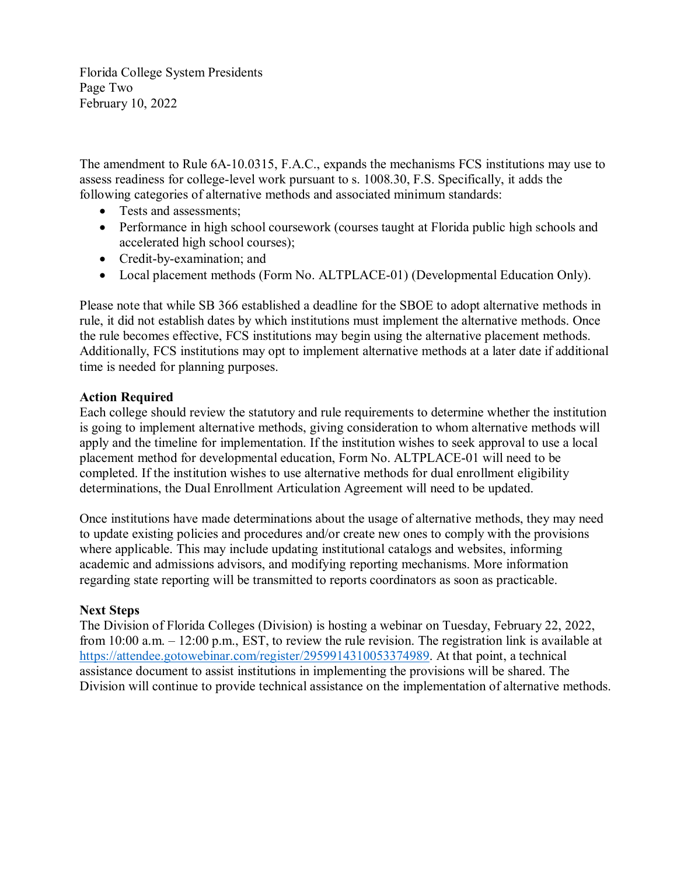Florida College System Presidents Page Two February 10, 2022

The amendment to Rule 6A-10.0315, F.A.C., expands the mechanisms FCS institutions may use to assess readiness for college-level work pursuant to s. 1008.30, F.S. Specifically, it adds the following categories of alternative methods and associated minimum standards:

- Tests and assessments;
- Performance in high school coursework (courses taught at Florida public high schools and accelerated high school courses);
- Credit-by-examination; and
- Local placement methods (Form No. ALTPLACE-01) (Developmental Education Only).

Please note that while SB 366 established a deadline for the SBOE to adopt alternative methods in rule, it did not establish dates by which institutions must implement the alternative methods. Once the rule becomes effective, FCS institutions may begin using the alternative placement methods. Additionally, FCS institutions may opt to implement alternative methods at a later date if additional time is needed for planning purposes.

## **Action Required**

Each college should review the statutory and rule requirements to determine whether the institution is going to implement alternative methods, giving consideration to whom alternative methods will apply and the timeline for implementation. If the institution wishes to seek approval to use a local placement method for developmental education, Form No. ALTPLACE-01 will need to be completed. If the institution wishes to use alternative methods for dual enrollment eligibility determinations, the Dual Enrollment Articulation Agreement will need to be updated.

Once institutions have made determinations about the usage of alternative methods, they may need to update existing policies and procedures and/or create new ones to comply with the provisions where applicable. This may include updating institutional catalogs and websites, informing academic and admissions advisors, and modifying reporting mechanisms. More information regarding state reporting will be transmitted to reports coordinators as soon as practicable.

## **Next Steps**

The Division of Florida Colleges (Division) is hosting a webinar on Tuesday, February 22, 2022, from 10:00 a.m. – 12:00 p.m., EST, to review the rule revision. The registration link is available at [https://attendee.gotowebinar.com/register/2959914310053374989.](https://attendee.gotowebinar.com/register/2959914310053374989) At that point, a technical assistance document to assist institutions in implementing the provisions will be shared. The Division will continue to provide technical assistance on the implementation of alternative methods.